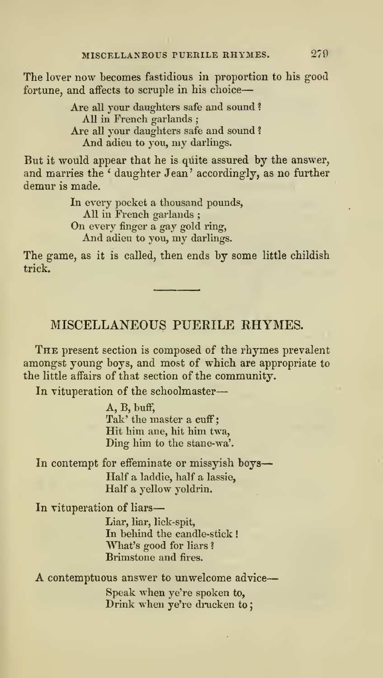# MISCELLANEOUS PUERILE RHYMES.

The present section is composed of the rhymes prevalent amongst young boys, and most of which are appropriate to the little affairs of that section of the community.

In vituperation of the schoolmaster

A, B, buff, Tak' the master a cuff; Hit him ane, hit him twa, Ding him to the stane-wa'.

In contempt for effeminate or missyish boys Half a laddie, half a lassie, Half a yellow yoldrin.

In vituperation of liars

Liar, liar, lick-spit, In behind the candle-stick! What's good for liars ? Brimstone and fires.

A contemptuous answer to unwelcome advice

Speak when ye're spoken to, Drink when ye're drucken to;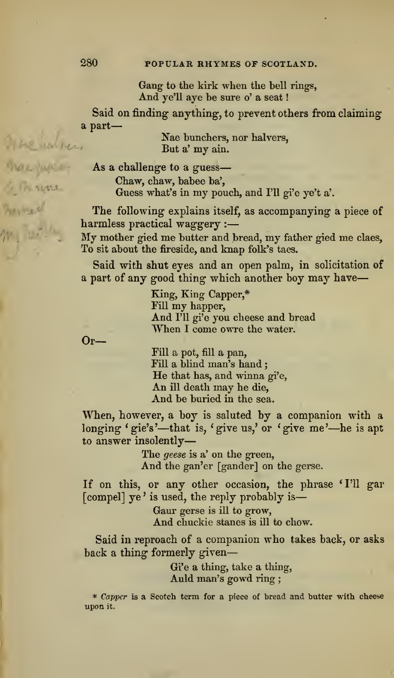## 280 POPULAR RHYMES OF SCOTLAND.

Gang to the kirk when the bell rings, And ye'll aye be sure o' a seat

Said on finding anything, to prevent others from claiming a part

> Nae bunchers, nor halvers, But a' my ain.

As a challenge to a guess Chaw, chaw, babee ba'. Guess what's in my pouch, and I'U gi'e ye't a'.

The following explains itself, as accompanying a piece of harmless practical waggery :

My mother gied me butter and bread, my father gied me claes. To sit about the fireside, and knap folk's taes.

Said with shut eyes and an open palm, in solicitation of a part of any good thing which another boy may have-

King, King Capper,\* Fill my happer. And I'll gi'e you cheese and bread When I come owre the water.

Fill a pot, fill a pan,<br>Fill a blind man's hand ; He that has, and winna gi'e, An ill death may he die. And be buried in the sea.

When, however, a hoy is saluted by a companion with a longing ' gie's'—that is, ' give us,' or ' give me'—he is apt to answer insolently

> The geese is a' on the green. And the gan'er [gander] on the gerse.

If on this, or any other occasion, the phrase 'I'll gar [compel] ye' is used, the reply probably is-

> Gaur gerse is ill to grow, And chuckie stanes is ill to chow.

Said in reproach of a companion who takes back, or asks back a thing formerly given

> Gi'e a thing, take a thing, Auld man's gowd ring ;

\* Capper is a Scotch term for a piece of bread and butter with cheese upon it.

to les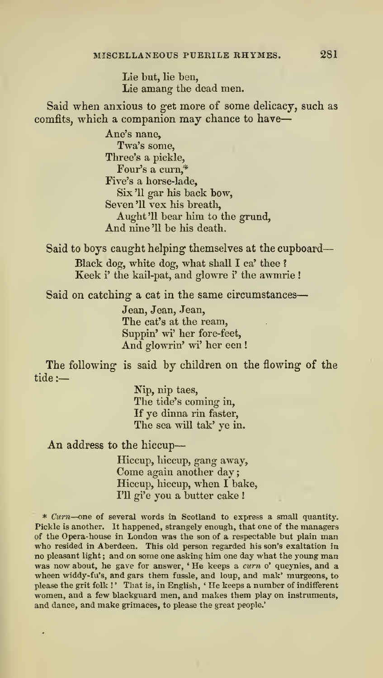Lie but, lie ben, Lie amang the dead men.

Said when anxious to get more of some delicacy, such as comfits, which a companion may chance to have-

> Ane's nane, Twa's some, Three's a pickle, Four's a curn,<sup>4</sup> Five's a horse-lade. Six '11 gar his back bow, Seven '11 vex his breatli. Aught'll bear him to the grund. And nine'll be his death.

Said to boys caught helping themselves at the cupboard Black dog, white dog, what shall I ca' thee ? Keek i' the kail-pat, and glowre i' the awmrie !

Said on catching a cat in the same circumstances

Jean, Jean, Jean, The cat's at the ream, Suppin' wi' her fore-feet. And glowrin' wi' her een !

The following is said by children on the flowing of the tide :

> Nip, nip taes. The tide's coming in, If ye dinna rin faster, The sea will tak' ye in.

An address to the hiccup

÷,

Hiccup, hiccup, gang away, Come again another day Hiccup, hiccup, when <sup>I</sup> bake, I'll gi'e you a butter cake !

\* Cum—one of several words in Scotland to express <sup>a</sup> small quantity. Pickle isanother. It happened, strangely enough, that one of the managers of the Opera-house in London was the son of a respectable but plain man who resided in Aberdeen. This old person regarded his son's exaltation in no pleasant light ; and on some one asking him one day what the young man was now about, he gave for answer, 'He keeps a curn o' queynies, and a wheen widdy-fu's, and gars them fussle, and loup, and mak' murgeons, to please the grit folk !' That is, in English, 'He keeps a number of indifferent women, and a few blackguard men, and makes them play on instruments, and dance, and make grimaces, to please the great people.'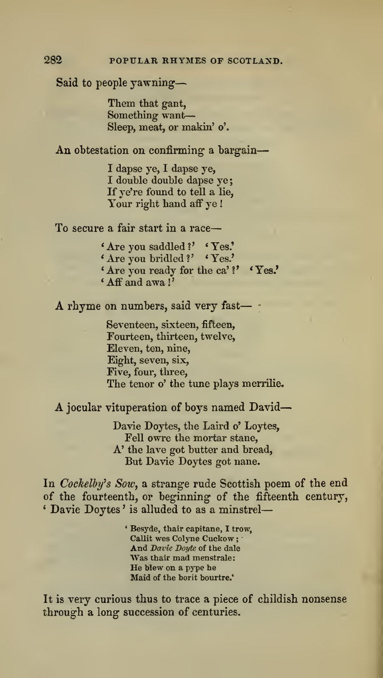Said to people yawning

Them that gant, Something want Sleep, meat, or makin' o'.

An obtestation on confirming a bargain-

I dapse ye, I dapse ye, I double double dapse ye If ye're found to tell a lie, Your right hand aff ye!

To secure a fair start in a race

- ' Are you saddled ?' <sup>&</sup>lt; Yes.'
- \* Are you bridled ? ' ' Yes.'
- ' Are you ready for the ca' ? ' \* Yes.'

 $^{\circ}$  Aff and awa !

A rhyme on numbers, said very fast— ;

Seventeen, sixteen, fifteen. Fourteen, thirteen, twelve. Eleven, ten, nine, Eight, seven, six. Five, four, three, The tenor o' the tune plays merrilie.

A jocular vituperation of boys named David—

Davie Doytes, the Laird o'Loytes, Fell owre the mortar stane, A' the lave got butter and bread. But Davie Doytes got nane.

In Cockelby's Sow, a strange rude Scottish poem of the end of the fourteenth, or beginning of the fifteenth century, \* Davie Doytes ' is alluded to as a minstrel

> ' Besyde, thair capitane, I trow, Callit wes Colyne Cuckow;<br>And Davie Dovie of the dale Was thair mad menstrale: He blew on a pype he Maid of the borit bourtre.'

It is very curious thus to trace a piece of childish nonsense through a long succession of centuries.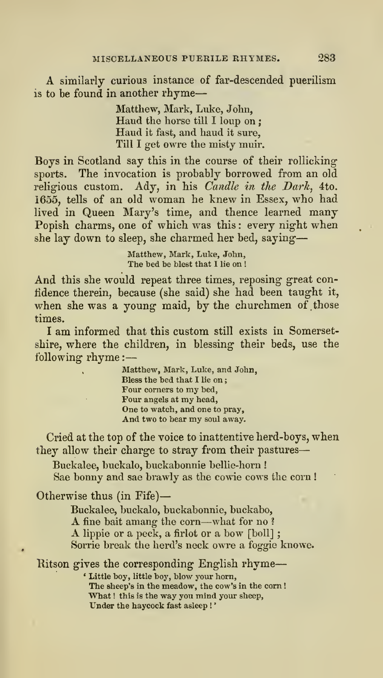A similarly curious instance of far-descended puerilism is to be found in another rhyme

> Matthew, Mark, Luke, John,<br>Haud the horse till I loup on: Haud it fast, and haud it sure. Till I get owre the misty muir.

Boys in Scotland say this in the course of their rollicking sports. The invocation is probably borrowed from an old religious custom. Ady, in his *Candle in the Dark*, 4to. 1655, tells of an old woman he knew in Essex, who had lived in Queen Mary's time, and thence learned many Popish charms, one of which was this: every night when she lay down to sleep, she charmed her bed, saying-

> Matthew, Mark, Luke, John, The bed be blest that I lie on !

And this she would repeat three times, reposing great confidence therein, because (she said) she had been taught it, when she was a young maid, by the churchmen of those times.

<sup>I</sup> am informed that this custom still exists in Somersetshire, where the children, in blessing their beds, use the following rhyme :

> Matthew, Mark, Luke, and John, Bless the bed that I lie on Four corners to my bed, Four angels at my head. One to watch, and one to pray. And two to bear my soul away.

Cried at the top of the voice to inattentive herd-boys, when they allow their charge to stray from their pastures

Buckalee, buckalo, buckabonnie bellie-horn ! Sae bonny and sae brawly as the cowie cows the corn !

Otherwise thus (in Fife)

Buckalee, buckalo, buckabonnie, buckabo, <sup>A</sup> fine bait amang the corn—what for no ? <sup>A</sup> lippie or <sup>a</sup> peck, <sup>a</sup> firlot or <sup>a</sup> bow [boll] ; Sorrie break the herd's neck owre a foggie knowe.

Ritson gives the corresponding English rhyme-

' Little boy, little boj', blow your horn. The sheep's in the meadow, the cow's in the corn ! What ! this is the way you mind your sheep, Under the haycock fast asleep !'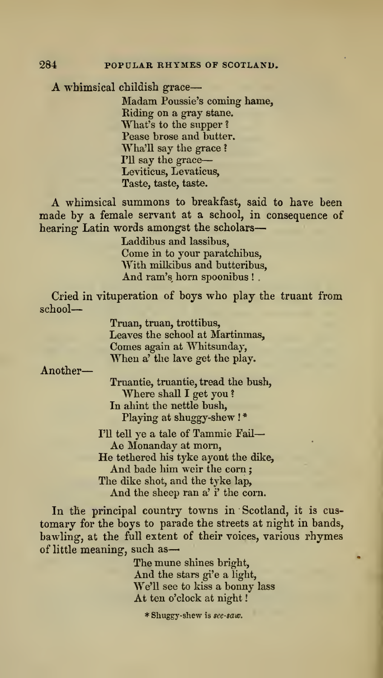A whimsical childish grace-

Madam Poussie's coming hame, Riding on a gray stane. What's to the supper ? Pease brose and butter.<br>Wha'll say the grace ? I'll say the grace-Leviticus, Levaticus, Taste, taste, taste.

A whimsical summons to breakfast, said to have been made by a female servant at a school, in consequence of hearing Latin words amongst the scholars-

> Laddibus and lassibus, Come in to your paratchibus, With milkibus and butteribus, And ram's horn spoonibus !

Cried in vituperation of boys who play the truant from school

> Truan, truan, trottibus, Leaves the school at Martinmas, Comes again at Whitsimday, When a' the lave get the play.

Another

Truantie, truantie, tread the bush, Where shall I get you? In ahint the nettle bush, Playing at shuggy-shew ! \*

I'll tell ye a tale of Tammie Fail-Ae Monanday at morn, He tethered his tyke ayont the dike. And bade him weir the corn The dike shot, and the tyke lap, And the sheep ran a'i' the corn.

In the principal country towns in Scotland, it is cus tomary for the boys to parade the streets at night in bands, bawling, at the full extent of their voices, various rhymes of little meaning, such as

> The mune shines bright. And the stars gi'e a light, We'U see to kiss a bonny lass At ten o'clock at night!

\* Shuggy-shew is see-saw.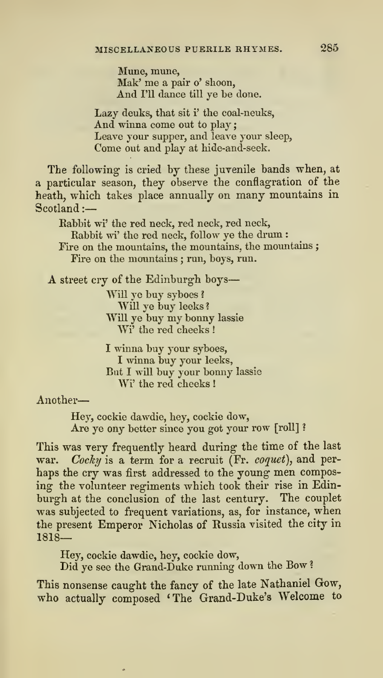Mune, mune, Mak' me a pair o' shoon. And I'll dance till ye be done.

Lazy deuks, that sit i' the coal-neuks, And winna come out to play; Leave your supper, and leave yom- sleep, Come out and play at hide-and-seek.

The following is cried by these juvenile bands when, at a particular season, they observe the conflagration of the heath, which takes place annually on many mountains in Scotland :-

Babbit wi' the red neck, red neck, red neck.

Rabbit m' the red neck, follow ye the drum : Fire on the mountains, the mountains, the mountains ; Fire on the mountains ; run, boys, run.

A street cry of the Edinburgh boys-

Will ye buy syboes ? Will ye buy leeks ? Will ye buy my bonny lassie Wi' the red cheeks !

I winna buy your syboes, I winna buy your leeks. But Iwill buy your bonny lassie Wi' the red cheeks !

Another

Hey, cockie dawdie, hey, cockie dow, Are ye ony better since you got your row [roll]?

This was very frequently heard during the time of the last war. Cocky is a term for a recruit (Fr. coquet), and perhaps the cry was first addressed to the young men composing the volunteer regiments which took their rise in Edin burgh at the conclusion of the last century. The couplet was subjected to frequent variations, as, for instance, when the present Emperor Nicholas of Russia visited the city in 1818—

Hey, cockie dawdie, hey, cockie dow,

Did ye see the Grand-Duke running down the Bow ?

This nonsense caught the fancy of the late Nathaniel Gow, who actually composed 'The Grand-Duke's Welcome to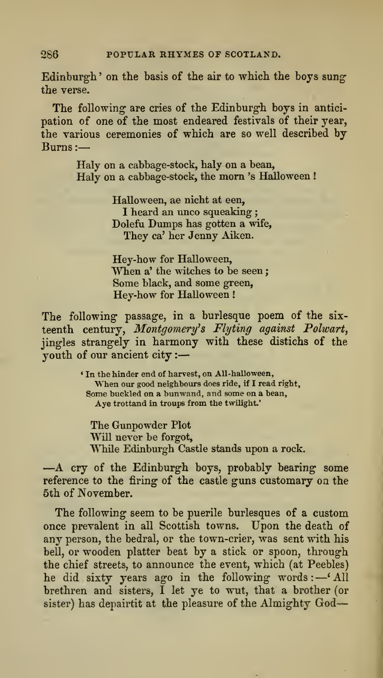Edinburgh' on the basis of the air to which the boys sung the verse.

The following are cries of the Edinburgh boys in anticipation of one of the most endeared festivals of their year, the various ceremonies of which are so well described by Burns :

> Haly on a cabbage-stock, haly on a bean, Haly on <sup>a</sup> cabbage-stock, the mom 's Halloween !

> > Halloween, ae nicht at een, I heard an unco squeaking ; Dolefu Dumps has gotten a wife, They ca' her Jenny Aiken.

Hey-how for Halloween,<br>When a' the witches to be seen; Some black, and some green, Hey-how for Halloween

The following passage, in <sup>a</sup> burlesque poem of the six teenth century, Montgomery's Flyting against Polwart, jingles strangely in harmony with these distichs of the youth of our ancient city :

> ' In the hinder end of harvest, on AU-halloween, When our good neighbours does ride, if <sup>I</sup> read right. Some buckled on a bunwand, and some on a bean, Aye trottand in troups from the twilight.'

The Gimpowder Plot Will never be forgot, While Edinburgh Castle stands upon a rock.

—A cry of the Edinburgh boys, probably bearing some reference to the firing of the castle guns customary on the 5th of November.

The following seem to be puerile burlesques of a custom once prevalent in all Scottish towns. Upon the death of any person, the bedral, or the town-crier, was sent with his bell, or wooden platter beat by a stick or spoon, through the chief streets, to announce the event, which (at Peebles) he did sixty years ago in the following words : —' All brethren and sisters, I let ye to wut, that a brother (or sister) has depairtit at the pleasure of the Almighty God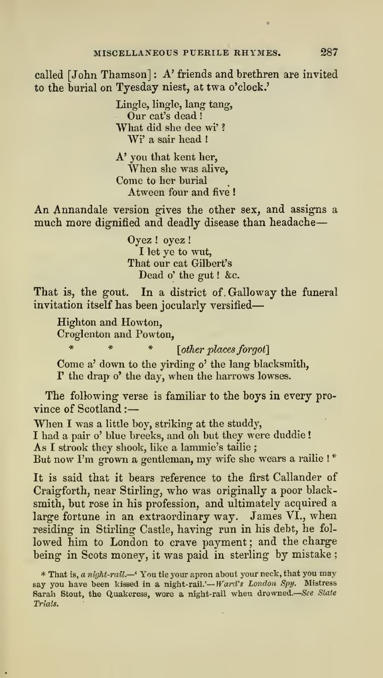called [John Thamson] : A' friends and brethren are invited to the burial on Tyesday niest, at twa o'clock.'

> Lingle, lingle, lang tang, Our cat's dead What did she dee wi' ? Wi' a sair head !

A' you that kent her, When she was alive, Come to her burial Atween four and five !

An Annandale version gives the other sex, and assigns a much more dignified and deadly disease than headache

> Oyez ! oyez ! I let ye to wut, That our cat Gilbert's Dead o' the gut ! &c.

That is, the gout. In a district of Galloway the funeral invitation itself has been jocularly versified

Highton and Howton, Croglenton and Powton,

\* \* \* [other places forgot]

Come a' down to the yirding o' the lang blacksmith, r the drap o' the day, when the harrows lowses.

The following verse is familiar to the boys in every province of Scotland :

When <sup>I</sup> was a little boy, striking at the studdy, I had a pair o' blue breeks, and oh but they were duddie ! As <sup>I</sup> strook they shook, like a lammic's tailie ; But now I'm grown a gentleman, my wife she wears a railie !\*

It is said that it bears reference to the first Callander of Craigforth, near Stirling, who was originally a poor black smith, but rose in his profession, and ultimately acquired a large fortune in an extraordinary way. James VI., when residing in Stirling Castle, having run in his debt, he fol lowed him to London to crave payment; and the charge being in Scots money, it was paid in sterling by mistake ;

<sup>\*</sup> That is, a night-rail.—' You tie your apron about your neck, that you may say you have been kissed in a night-rail.'-Ward's London Spy. Mistress Sarah Stout, the Quakeress, wore a night-rail when drowned.—See State Trials.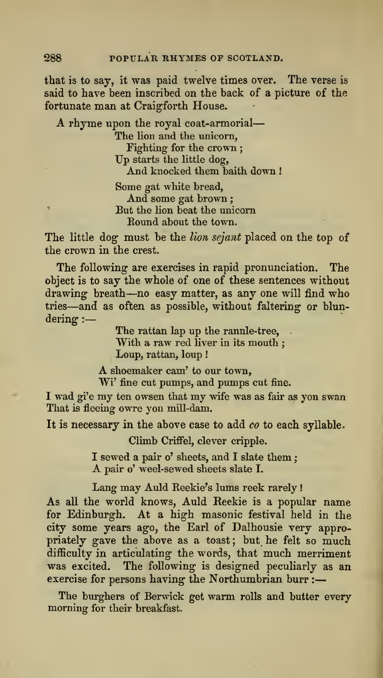that is to say, it was paid twelve times over. The verse is said to have been inscribed on the back of a picture of the fortunate man at Craigforth House.

A rhyme upon the royal coat-armorial

The lion and the unicorn, Fighting for the crown;<br>Up starts the little dog, And knocked them baith down !

Some gat white bread. And some gat brown ; But the lion beat the unicorn Eound about the town.

The little dog-must be the lion sejant placed on the top of the crown in the crest.

The following are exercises in rapid pronunciation. The object is to say the whole of one of these sentences without drawing breath—no easy matter, as any one will find who tries—and as often as possible, without faltering' or blun dering :

> The rattan lap up the rannle-tree, With a raw red liver in its mouth : Loup, rattan, loup !

A shoemaker cam' to our town, Wi' fine cut pumps, and pumps cut fine.

I wad gi'e my ten owsen that my wife was as fair as yon swan That is fleeing owre you mill-dam.

It is necessary in the above case to add co to each syllable.

Climb Crrffel, clever cripple.

I sewed a pair o' sheets, and I slate them : A pair o' weel-sewed sheets slate I.

Lang may Auld Reekie's lums reek rarely

As all the world knows, Auld Reekie is a popular name for Edinburgh. At a high masonic festival held in the city some years ago, the Earl of Dalhousie very appropriately gave the above as a toast; but he felt so much difficulty in articulating the words, that much merriment was excited. The following is designed peculiarly as an exercise for persons having the Northumbrian burr :

The burghers of Berwick get warm rolls and butter every morning for their breakfast.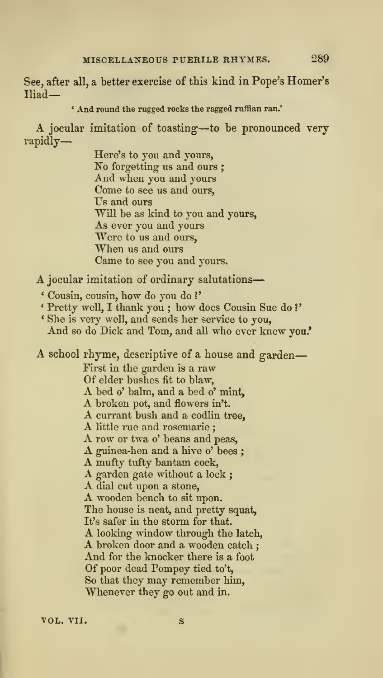See, after all, a better exercise of this kind in Pope's Homer's Iliad—

### ' And round the rugged rocks the ragged ruffian ran.'

A jocular imitation of toasting—to be pronounced very rapidly-

> Here's to you and yours,<br>No forgetting us and ours ; And when you and yours Come to see us and ours, Us and ours Will be as kind to you and yours, As ever you and yours Were to us and ours, When us and ours Came to see you and yours.

A jocular imitation of ordinary salutations

- ' Cousm, cousin, how do you do ?'
- <sup>&</sup>lt; Pretty well, <sup>I</sup> thank you ; how does Cousin Sue do ?'
- ' She is very well, and sends her service to you. And so do Dick and Tom, and all who ever knew you.'

A school rhyme, descriptive of <sup>a</sup> house and garden First in the garden is a raw<br>Of elder bushes fit to blaw, Of elder bushess fit to blaw,<br>A bed o' balm, and a bed o' mint,<br>A broken pot, and flowers in't.<br>A currant bush and a codlin tree,<br>A little rue and rosemarie;<br>A ruw or twa o' beans and peas,<br>A guinea-hen and a hive o' bees The house is neat, and pretty squat, It's safer in the storm for that. <sup>A</sup> looking window through the latch, <sup>A</sup> broken door and <sup>a</sup> wooden catch ; And forthe knocker there is <sup>a</sup> foot Of poor dead Pompey tied to't. So that they may remember him.

VOL. VII.

Whenever they go out and in.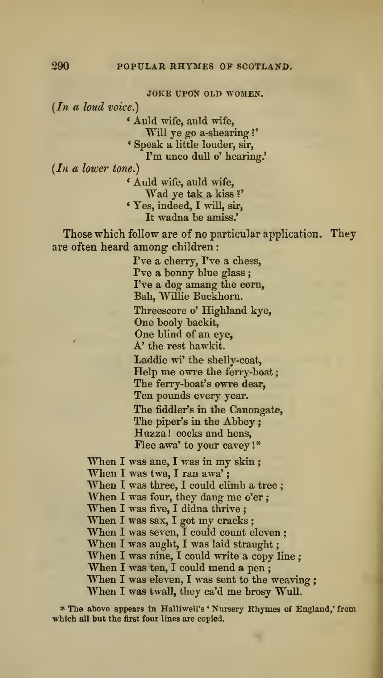JOKE UPON OLD WOMEN.

 $(In a loud voice.)$ 

\* Aiild Avife, auld wife,

Will ye go a-shearing?'

\* Speak a little louder, sir,

I'm unco dull o' hearing.'

 $(In a lower tone.)$ 

\* Auld wife, auld wife, Wad ye tak a kiss?' \* Yes, indeed, I will, sir, It wadna be amiss.'

Those which follow are of no particular application. They are often heard among children

> I've a cherry, I've a chess, I've a bonny blue glass ; I've a dog amang the corn, Bah, Willie Buckhorn.

Threescore o' Highland kye, One booly backit, One blind of an eye,

A' the rest hawkit.

Laddie wi' the shelly-coat. Help me owre the ferry-boat The ferry-boat's owre dear. Ten pounds every year. The fiddler's in the Canongate, The piper's in the Abbey: Huzza ! cocks and hens. Flee awa' to your cavey I\*

When I was ane, I was in my skin; When I was twa, I ran awa';<br>When I was three, I could climb a tree; When I was four, they dang me o'er ;<br>When I was five, I didna thrive ;<br>When I was sax, I got my cracks ;<br>When I was seven, I could count eleven ; When I was aught, I was laid straught;<br>When I was nine, I could write a copy line; When I was ten, I could mend a pen;<br>When I was eleven, I was sent to the weaving; When <sup>I</sup> was twall, they ca'd me brosy Wull.

\* The above appears in Halliwell's 'Nursery Rhymes of England,' from which all but the first four lines are copied.